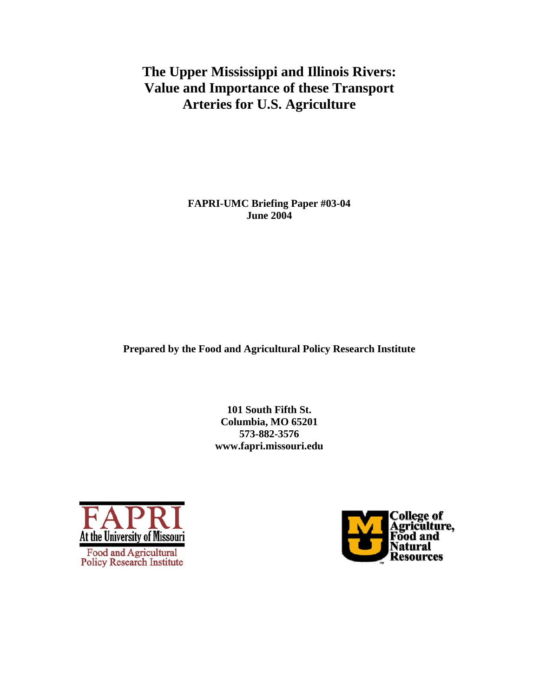# **The Upper Mississippi and Illinois Rivers: Value and Importance of these Transport Arteries for U.S. Agriculture**

**FAPRI-UMC Briefing Paper #03-04 June 2004** 

**Prepared by the Food and Agricultural Policy Research Institute** 

**101 South Fifth St. Columbia, MO 65201 573-882-3576 www.fapri.missouri.edu** 



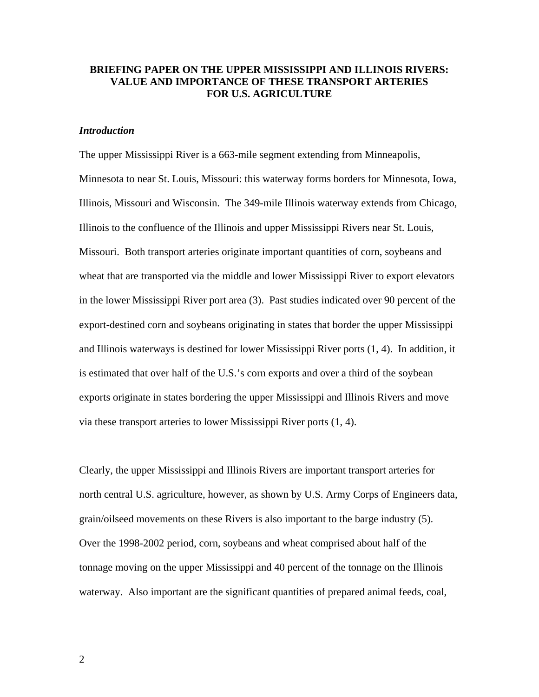## **BRIEFING PAPER ON THE UPPER MISSISSIPPI AND ILLINOIS RIVERS: VALUE AND IMPORTANCE OF THESE TRANSPORT ARTERIES FOR U.S. AGRICULTURE**

## *Introduction*

The upper Mississippi River is a 663-mile segment extending from Minneapolis, Minnesota to near St. Louis, Missouri: this waterway forms borders for Minnesota, Iowa, Illinois, Missouri and Wisconsin. The 349-mile Illinois waterway extends from Chicago, Illinois to the confluence of the Illinois and upper Mississippi Rivers near St. Louis, Missouri. Both transport arteries originate important quantities of corn, soybeans and wheat that are transported via the middle and lower Mississippi River to export elevators in the lower Mississippi River port area (3). Past studies indicated over 90 percent of the export-destined corn and soybeans originating in states that border the upper Mississippi and Illinois waterways is destined for lower Mississippi River ports  $(1, 4)$ . In addition, it is estimated that over half of the U.S.'s corn exports and over a third of the soybean exports originate in states bordering the upper Mississippi and Illinois Rivers and move via these transport arteries to lower Mississippi River ports (1, 4).

Clearly, the upper Mississippi and Illinois Rivers are important transport arteries for north central U.S. agriculture, however, as shown by U.S. Army Corps of Engineers data, grain/oilseed movements on these Rivers is also important to the barge industry (5). Over the 1998-2002 period, corn, soybeans and wheat comprised about half of the tonnage moving on the upper Mississippi and 40 percent of the tonnage on the Illinois waterway. Also important are the significant quantities of prepared animal feeds, coal,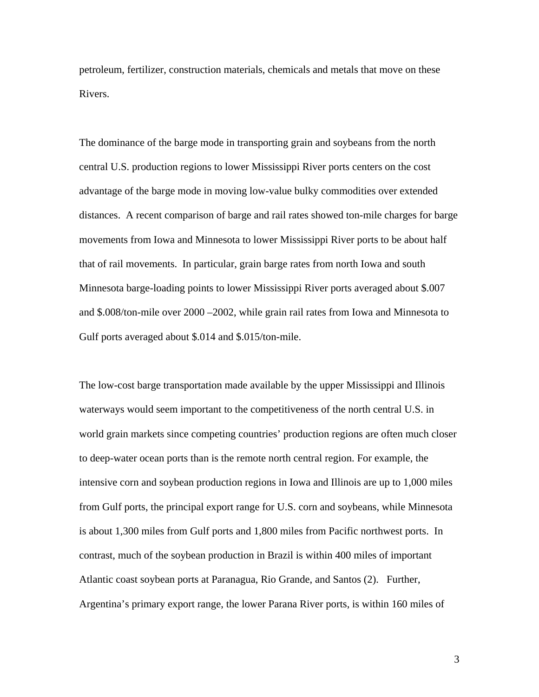petroleum, fertilizer, construction materials, chemicals and metals that move on these Rivers.

The dominance of the barge mode in transporting grain and soybeans from the north central U.S. production regions to lower Mississippi River ports centers on the cost advantage of the barge mode in moving low-value bulky commodities over extended distances. A recent comparison of barge and rail rates showed ton-mile charges for barge movements from Iowa and Minnesota to lower Mississippi River ports to be about half that of rail movements. In particular, grain barge rates from north Iowa and south Minnesota barge-loading points to lower Mississippi River ports averaged about \$.007 and \$.008/ton-mile over 2000 –2002, while grain rail rates from Iowa and Minnesota to Gulf ports averaged about \$.014 and \$.015/ton-mile.

The low-cost barge transportation made available by the upper Mississippi and Illinois waterways would seem important to the competitiveness of the north central U.S. in world grain markets since competing countries' production regions are often much closer to deep-water ocean ports than is the remote north central region. For example, the intensive corn and soybean production regions in Iowa and Illinois are up to 1,000 miles from Gulf ports, the principal export range for U.S. corn and soybeans, while Minnesota is about 1,300 miles from Gulf ports and 1,800 miles from Pacific northwest ports. In contrast, much of the soybean production in Brazil is within 400 miles of important Atlantic coast soybean ports at Paranagua, Rio Grande, and Santos (2). Further, Argentina's primary export range, the lower Parana River ports, is within 160 miles of

3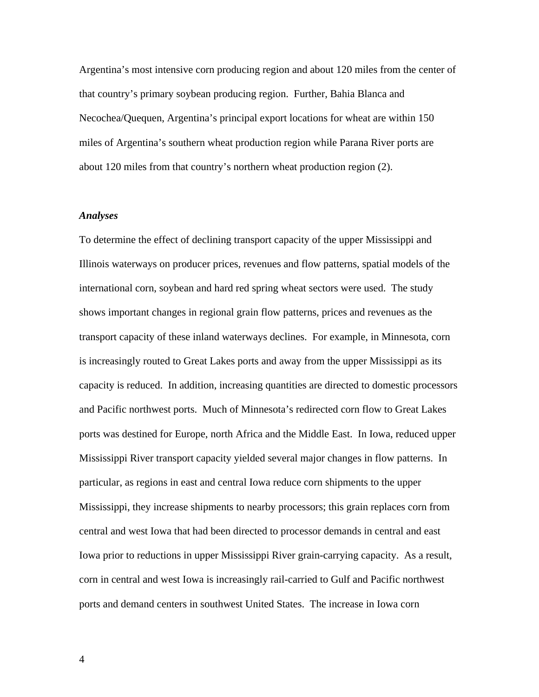Argentina's most intensive corn producing region and about 120 miles from the center of that country's primary soybean producing region. Further, Bahia Blanca and Necochea/Quequen, Argentina's principal export locations for wheat are within 150 miles of Argentina's southern wheat production region while Parana River ports are about 120 miles from that country's northern wheat production region (2).

#### *Analyses*

To determine the effect of declining transport capacity of the upper Mississippi and Illinois waterways on producer prices, revenues and flow patterns, spatial models of the international corn, soybean and hard red spring wheat sectors were used. The study shows important changes in regional grain flow patterns, prices and revenues as the transport capacity of these inland waterways declines. For example, in Minnesota, corn is increasingly routed to Great Lakes ports and away from the upper Mississippi as its capacity is reduced. In addition, increasing quantities are directed to domestic processors and Pacific northwest ports. Much of Minnesota's redirected corn flow to Great Lakes ports was destined for Europe, north Africa and the Middle East. In Iowa, reduced upper Mississippi River transport capacity yielded several major changes in flow patterns. In particular, as regions in east and central Iowa reduce corn shipments to the upper Mississippi, they increase shipments to nearby processors; this grain replaces corn from central and west Iowa that had been directed to processor demands in central and east Iowa prior to reductions in upper Mississippi River grain-carrying capacity. As a result, corn in central and west Iowa is increasingly rail-carried to Gulf and Pacific northwest ports and demand centers in southwest United States. The increase in Iowa corn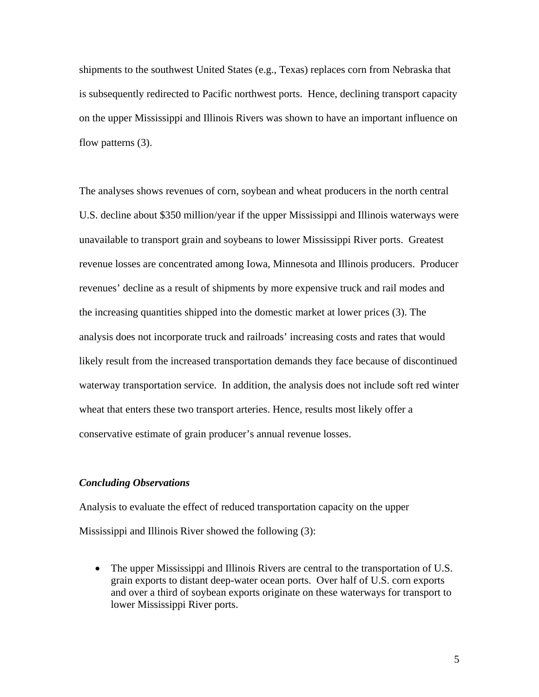shipments to the southwest United States (e.g., Texas) replaces corn from Nebraska that is subsequently redirected to Pacific northwest ports. Hence, declining transport capacity on the upper Mississippi and Illinois Rivers was shown to have an important influence on flow patterns  $(3)$ .

The analyses shows revenues of corn, soybean and wheat producers in the north central U.S. decline about \$350 million/year if the upper Mississippi and Illinois waterways were unavailable to transport grain and soybeans to lower Mississippi River ports. Greatest revenue losses are concentrated among Iowa, Minnesota and Illinois producers. Producer revenues' decline as a result of shipments by more expensive truck and rail modes and the increasing quantities shipped into the domestic market at lower prices (3). The analysis does not incorporate truck and railroads' increasing costs and rates that would likely result from the increased transportation demands they face because of discontinued waterway transportation service. In addition, the analysis does not include soft red winter wheat that enters these two transport arteries. Hence, results most likely offer a conservative estimate of grain producer's annual revenue losses.

### *Concluding Observations*

Analysis to evaluate the effect of reduced transportation capacity on the upper Mississippi and Illinois River showed the following (3):

• The upper Mississippi and Illinois Rivers are central to the transportation of U.S. grain exports to distant deep-water ocean ports. Over half of U.S. corn exports and over a third of soybean exports originate on these waterways for transport to lower Mississippi River ports.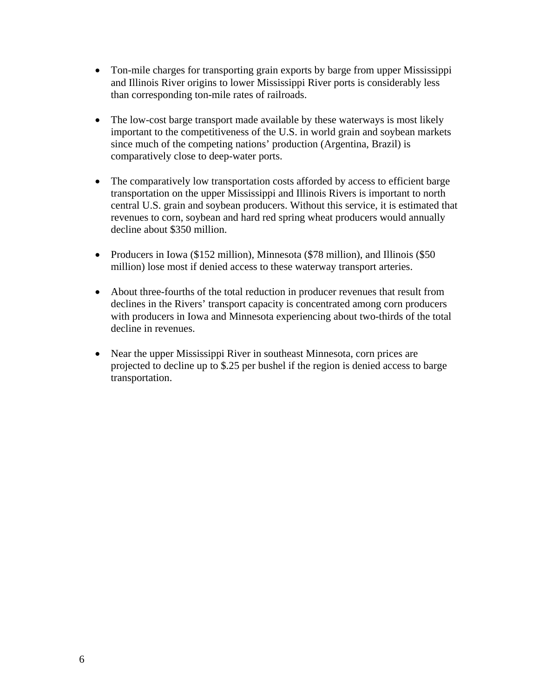- Ton-mile charges for transporting grain exports by barge from upper Mississippi and Illinois River origins to lower Mississippi River ports is considerably less than corresponding ton-mile rates of railroads.
- The low-cost barge transport made available by these waterways is most likely important to the competitiveness of the U.S. in world grain and soybean markets since much of the competing nations' production (Argentina, Brazil) is comparatively close to deep-water ports.
- The comparatively low transportation costs afforded by access to efficient barge transportation on the upper Mississippi and Illinois Rivers is important to north central U.S. grain and soybean producers. Without this service, it is estimated that revenues to corn, soybean and hard red spring wheat producers would annually decline about \$350 million.
- Producers in Iowa (\$152 million), Minnesota (\$78 million), and Illinois (\$50 million) lose most if denied access to these waterway transport arteries.
- About three-fourths of the total reduction in producer revenues that result from declines in the Rivers' transport capacity is concentrated among corn producers with producers in Iowa and Minnesota experiencing about two-thirds of the total decline in revenues.
- Near the upper Mississippi River in southeast Minnesota, corn prices are projected to decline up to \$.25 per bushel if the region is denied access to barge transportation.